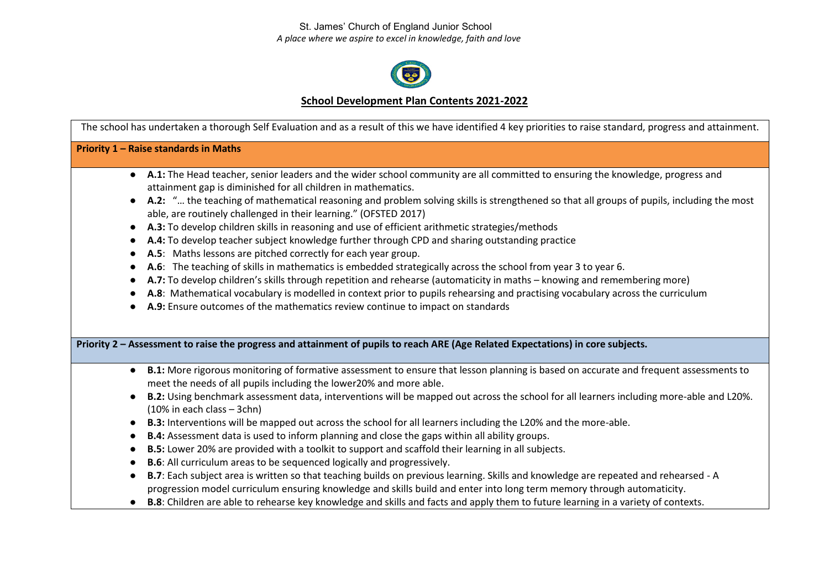St. James' Church of England Junior School  *A place where we aspire to excel in knowledge, faith and love*



## **School Development Plan Contents 2021-2022**

The school has undertaken a thorough Self Evaluation and as a result of this we have identified 4 key priorities to raise standard, progress and attainment. **Priority 1 – Raise standards in Maths**  ● **A.1:** The Head teacher, senior leaders and the wider school community are all committed to ensuring the knowledge, progress and attainment gap is diminished for all children in mathematics. ● **A.2:** "… the teaching of mathematical reasoning and problem solving skills is strengthened so that all groups of pupils, including the most able, are routinely challenged in their learning." (OFSTED 2017) ● **A.3:** To develop children skills in reasoning and use of efficient arithmetic strategies/methods ● **A.4:** To develop teacher subject knowledge further through CPD and sharing outstanding practice ● **A.5**: Maths lessons are pitched correctly for each year group. ● **A.6**: The teaching of skills in mathematics is embedded strategically across the school from year 3 to year 6. ● **A.7:** To develop children's skills through repetition and rehearse (automaticity in maths – knowing and remembering more) ● **A.8**: Mathematical vocabulary is modelled in context prior to pupils rehearsing and practising vocabulary across the curriculum ● **A.9:** Ensure outcomes of the mathematics review continue to impact on standards **Priority 2 – Assessment to raise the progress and attainment of pupils to reach ARE (Age Related Expectations) in core subjects.** ● **B.1:** More rigorous monitoring of formative assessment to ensure that lesson planning is based on accurate and frequent assessments to meet the needs of all pupils including the lower20% and more able. ● **B.2:** Using benchmark assessment data, interventions will be mapped out across the school for all learners including more-able and L20%. (10% in each class – 3chn) ● **B.3:** Interventions will be mapped out across the school for all learners including the L20% and the more-able. ● **B.4:** Assessment data is used to inform planning and close the gaps within all ability groups. ● **B.5:** Lower 20% are provided with a toolkit to support and scaffold their learning in all subjects. ● **B.6**: All curriculum areas to be sequenced logically and progressively. ● **B.7**: Each subject area is written so that teaching builds on previous learning. Skills and knowledge are repeated and rehearsed - A progression model curriculum ensuring knowledge and skills build and enter into long term memory through automaticity. ● **B.8**: Children are able to rehearse key knowledge and skills and facts and apply them to future learning in a variety of contexts.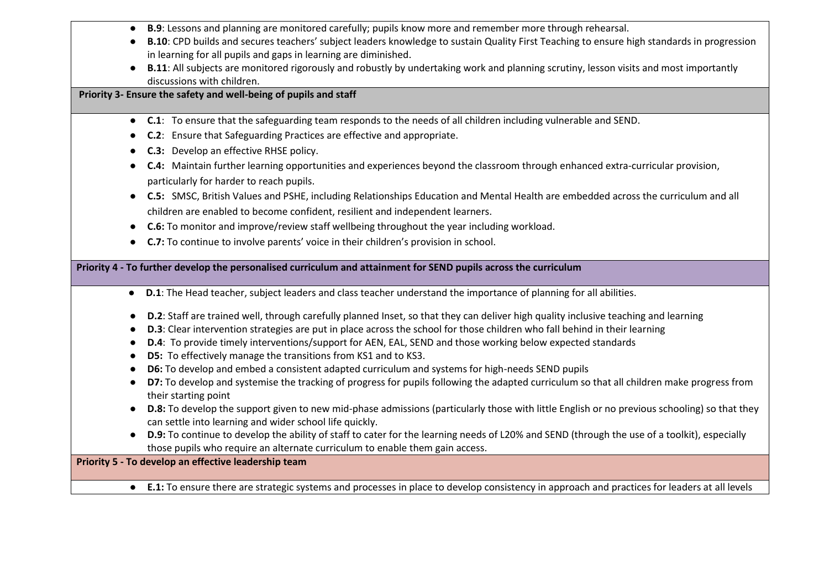- **B.9**: Lessons and planning are monitored carefully; pupils know more and remember more through rehearsal.
- **B.10**: CPD builds and secures teachers' subject leaders knowledge to sustain Quality First Teaching to ensure high standards in progression in learning for all pupils and gaps in learning are diminished.
- **B.11**: All subjects are monitored rigorously and robustly by undertaking work and planning scrutiny, lesson visits and most importantly discussions with children.

**Priority 3- Ensure the safety and well-being of pupils and staff**

- **C.1**: To ensure that the safeguarding team responds to the needs of all children including vulnerable and SEND.
- **C.2**: Ensure that Safeguarding Practices are effective and appropriate.
- **C.3:** Develop an effective RHSE policy.
- **C.4:** Maintain further learning opportunities and experiences beyond the classroom through enhanced extra-curricular provision, particularly for harder to reach pupils.
- **C.5:** SMSC, British Values and PSHE, including Relationships Education and Mental Health are embedded across the curriculum and all children are enabled to become confident, resilient and independent learners.
- **C.6:** To monitor and improve/review staff wellbeing throughout the year including workload.
- **C.7:** To continue to involve parents' voice in their children's provision in school.

**Priority 4 - To further develop the personalised curriculum and attainment for SEND pupils across the curriculum** 

- **D.1**: The Head teacher, subject leaders and class teacher understand the importance of planning for all abilities.
- **D.2**: Staff are trained well, through carefully planned Inset, so that they can deliver high quality inclusive teaching and learning
- **D.3**: Clear intervention strategies are put in place across the school for those children who fall behind in their learning
- **D.4**: To provide timely interventions/support for AEN, EAL, SEND and those working below expected standards
- **D5:** To effectively manage the transitions from KS1 and to KS3.
- **D6:** To develop and embed a consistent adapted curriculum and systems for high-needs SEND pupils
- **D7:** To develop and systemise the tracking of progress for pupils following the adapted curriculum so that all children make progress from their starting point
- **D.8:** To develop the support given to new mid-phase admissions (particularly those with little English or no previous schooling) so that they can settle into learning and wider school life quickly.
- **D.9:** To continue to develop the ability of staff to cater for the learning needs of L20% and SEND (through the use of a toolkit), especially those pupils who require an alternate curriculum to enable them gain access.

**Priority 5 - To develop an effective leadership team** 

● **E.1:** To ensure there are strategic systems and processes in place to develop consistency in approach and practices for leaders at all levels